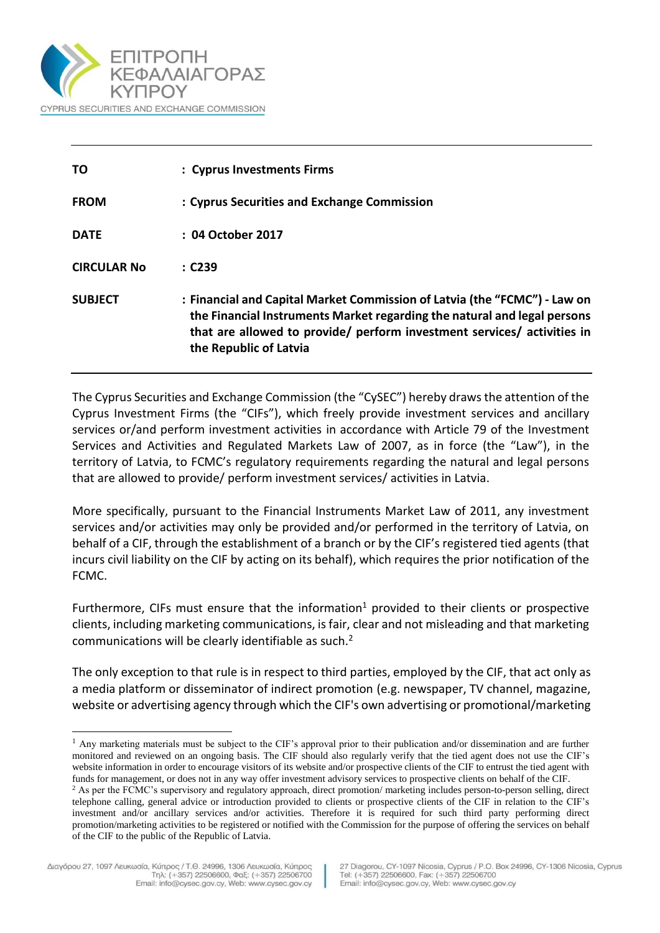

| <b>TO</b>          | : Cyprus Investments Firms                                                                                                                                                                                                                                 |
|--------------------|------------------------------------------------------------------------------------------------------------------------------------------------------------------------------------------------------------------------------------------------------------|
| <b>FROM</b>        | : Cyprus Securities and Exchange Commission                                                                                                                                                                                                                |
| <b>DATE</b>        | : 04 October 2017                                                                                                                                                                                                                                          |
| <b>CIRCULAR No</b> | : C239                                                                                                                                                                                                                                                     |
| <b>SUBJECT</b>     | : Financial and Capital Market Commission of Latvia (the "FCMC") - Law on<br>the Financial Instruments Market regarding the natural and legal persons<br>that are allowed to provide/ perform investment services/ activities in<br>the Republic of Latvia |

The Cyprus Securities and Exchange Commission (the "CySEC") hereby drawsthe attention of the Cyprus Investment Firms (the "CIFs"), which freely provide investment services and ancillary services or/and perform investment activities in accordance with Article 79 of the Investment Services and Activities and Regulated Markets Law of 2007, as in force (the "Law"), in the territory of Latvia, to FCMC's regulatory requirements regarding the natural and legal persons that are allowed to provide/ perform investment services/ activities in Latvia.

More specifically, pursuant to the Financial Instruments Market Law of 2011, any investment services and/or activities may only be provided and/or performed in the territory of Latvia, on behalf of a CIF, through the establishment of a branch or by the CIF's registered tied agents (that incurs civil liability on the CIF by acting on its behalf), which requires the prior notification of the FCMC.

Furthermore, CIFs must ensure that the information<sup>1</sup> provided to their clients or prospective clients, including marketing communications, is fair, clear and not misleading and that marketing communications will be clearly identifiable as such. $2$ 

The only exception to that rule is in respect to third parties, employed by the CIF, that act only as a media platform or disseminator of indirect promotion (e.g. newspaper, TV channel, magazine, website or advertising agency through which the CIF's own advertising or promotional/marketing

l

<sup>&</sup>lt;sup>1</sup> Any marketing materials must be subject to the CIF's approval prior to their publication and/or dissemination and are further monitored and reviewed on an ongoing basis. The CIF should also regularly verify that the tied agent does not use the CIF's website information in order to encourage visitors of its website and/or prospective clients of the CIF to entrust the tied agent with funds for management, or does not in any way offer investment advisory services to prospective clients on behalf of the CIF.

<sup>&</sup>lt;sup>2</sup> As per the FCMC's supervisory and regulatory approach, direct promotion/ marketing includes person-to-person selling, direct telephone calling, general advice or introduction provided to clients or prospective clients of the CIF in relation to the CIF's investment and/or ancillary services and/or activities. Therefore it is required for such third party performing direct promotion/marketing activities to be registered or notified with the Commission for the purpose of offering the services on behalf of the CIF to the public of the Republic of Latvia.